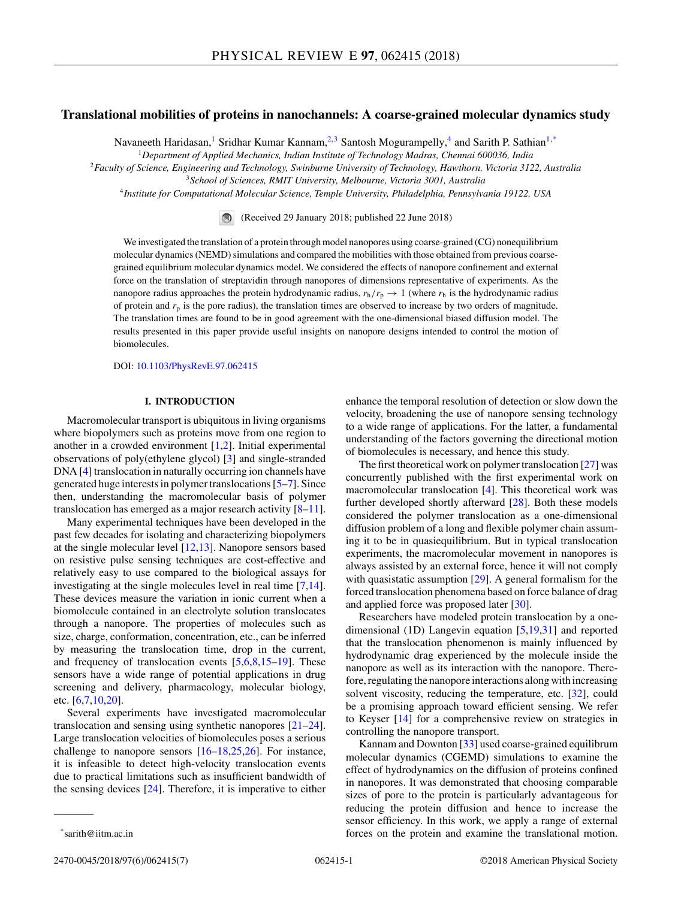# **Translational mobilities of proteins in nanochannels: A coarse-grained molecular dynamics study**

Navaneeth Haridasan,<sup>1</sup> Sridhar Kumar Kannam,<sup>2,3</sup> Santosh Mogurampelly,<sup>4</sup> and Sarith P. Sathian<sup>1,\*</sup>

<sup>1</sup>*Department of Applied Mechanics, Indian Institute of Technology Madras, Chennai 600036, India*

<sup>2</sup>*Faculty of Science, Engineering and Technology, Swinburne University of Technology, Hawthorn, Victoria 3122, Australia*

<sup>3</sup>*School of Sciences, RMIT University, Melbourne, Victoria 3001, Australia*

<sup>4</sup>*Institute for Computational Molecular Science, Temple University, Philadelphia, Pennsylvania 19122, USA*

(Received 29 January 2018; published 22 June 2018)

We investigated the translation of a protein through model nanopores using coarse-grained (CG) nonequilibrium molecular dynamics (NEMD) simulations and compared the mobilities with those obtained from previous coarsegrained equilibrium molecular dynamics model. We considered the effects of nanopore confinement and external force on the translation of streptavidin through nanopores of dimensions representative of experiments. As the nanopore radius approaches the protein hydrodynamic radius,  $r_h/r_p \rightarrow 1$  (where  $r_h$  is the hydrodynamic radius of protein and  $r_p$  is the pore radius), the translation times are observed to increase by two orders of magnitude. The translation times are found to be in good agreement with the one-dimensional biased diffusion model. The results presented in this paper provide useful insights on nanopore designs intended to control the motion of biomolecules.

DOI: [10.1103/PhysRevE.97.062415](https://doi.org/10.1103/PhysRevE.97.062415)

### **I. INTRODUCTION**

Macromolecular transport is ubiquitous in living organisms where biopolymers such as proteins move from one region to another in a crowded environment [\[1,2\]](#page-5-0). Initial experimental observations of poly(ethylene glycol) [\[3\]](#page-5-0) and single-stranded DNA [\[4\]](#page-5-0) translocation in naturally occurring ion channels have generated huge interests in polymer translocations [\[5–7\]](#page-5-0). Since then, understanding the macromolecular basis of polymer translocation has emerged as a major research activity  $[8-11]$ .

Many experimental techniques have been developed in the past few decades for isolating and characterizing biopolymers at the single molecular level [\[12,13\]](#page-6-0). Nanopore sensors based on resistive pulse sensing techniques are cost-effective and relatively easy to use compared to the biological assays for investigating at the single molecules level in real time [\[7](#page-5-0)[,14\]](#page-6-0). These devices measure the variation in ionic current when a biomolecule contained in an electrolyte solution translocates through a nanopore. The properties of molecules such as size, charge, conformation, concentration, etc., can be inferred by measuring the translocation time, drop in the current, and frequency of translocation events  $[5,6,8,15-19]$  $[5,6,8,15-19]$ . These sensors have a wide range of potential applications in drug screening and delivery, pharmacology, molecular biology, etc. [\[6,7](#page-5-0)[,10,20\]](#page-6-0).

Several experiments have investigated macromolecular translocation and sensing using synthetic nanopores [\[21–24\]](#page-6-0). Large translocation velocities of biomolecules poses a serious challenge to nanopore sensors  $[16–18,25,26]$ . For instance, it is infeasible to detect high-velocity translocation events due to practical limitations such as insufficient bandwidth of the sensing devices  $[24]$ . Therefore, it is imperative to either

enhance the temporal resolution of detection or slow down the velocity, broadening the use of nanopore sensing technology to a wide range of applications. For the latter, a fundamental understanding of the factors governing the directional motion of biomolecules is necessary, and hence this study.

The first theoretical work on polymer translocation [\[27\]](#page-6-0) was concurrently published with the first experimental work on macromolecular translocation [\[4\]](#page-5-0). This theoretical work was further developed shortly afterward [\[28\]](#page-6-0). Both these models considered the polymer translocation as a one-dimensional diffusion problem of a long and flexible polymer chain assuming it to be in quasiequilibrium. But in typical translocation experiments, the macromolecular movement in nanopores is always assisted by an external force, hence it will not comply with quasistatic assumption [\[29\]](#page-6-0). A general formalism for the forced translocation phenomena based on force balance of drag and applied force was proposed later [\[30\]](#page-6-0).

Researchers have modeled protein translocation by a onedimensional (1D) Langevin equation [\[5](#page-5-0)[,19,31\]](#page-6-0) and reported that the translocation phenomenon is mainly influenced by hydrodynamic drag experienced by the molecule inside the nanopore as well as its interaction with the nanopore. Therefore, regulating the nanopore interactions along with increasing solvent viscosity, reducing the temperature, etc. [\[32\]](#page-6-0), could be a promising approach toward efficient sensing. We refer to Keyser [\[14\]](#page-6-0) for a comprehensive review on strategies in controlling the nanopore transport.

Kannam and Downton [\[33\]](#page-6-0) used coarse-grained equilibrum molecular dynamics (CGEMD) simulations to examine the effect of hydrodynamics on the diffusion of proteins confined in nanopores. It was demonstrated that choosing comparable sizes of pore to the protein is particularly advantageous for reducing the protein diffusion and hence to increase the sensor efficiency. In this work, we apply a range of external forces on the protein and examine the translational motion.

<sup>\*</sup>sarith@iitm.ac.in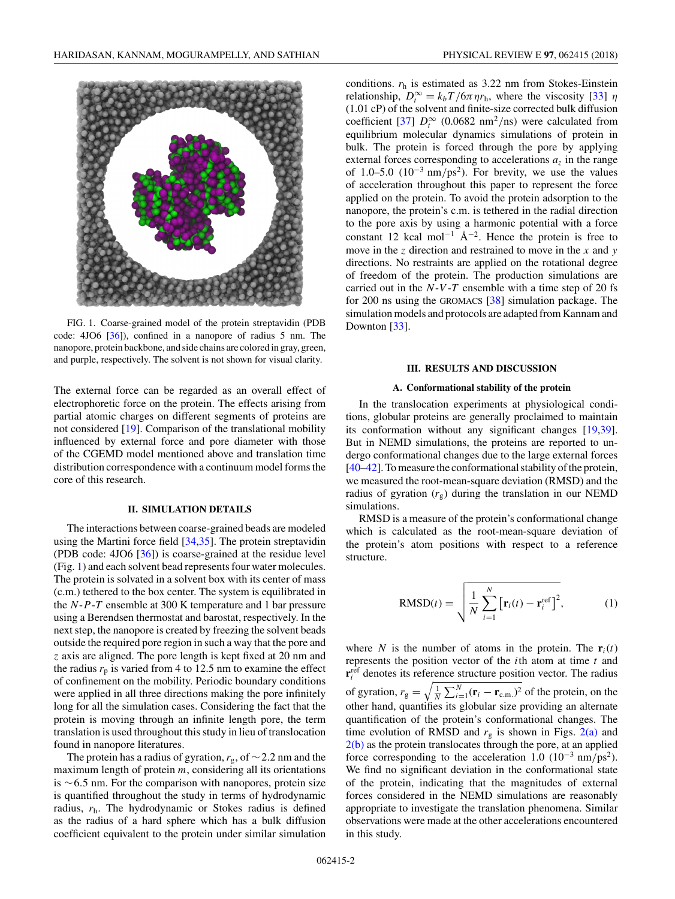

FIG. 1. Coarse-grained model of the protein streptavidin (PDB code: 4JO6 [\[36\]](#page-6-0)), confined in a nanopore of radius 5 nm. The nanopore, protein backbone, and side chains are colored in gray, green, and purple, respectively. The solvent is not shown for visual clarity.

The external force can be regarded as an overall effect of electrophoretic force on the protein. The effects arising from partial atomic charges on different segments of proteins are not considered [\[19\]](#page-6-0). Comparison of the translational mobility influenced by external force and pore diameter with those of the CGEMD model mentioned above and translation time distribution correspondence with a continuum model forms the core of this research.

#### **II. SIMULATION DETAILS**

The interactions between coarse-grained beads are modeled using the Martini force field [\[34,35\]](#page-6-0). The protein streptavidin (PDB code: 4JO6 [\[36\]](#page-6-0)) is coarse-grained at the residue level (Fig. 1) and each solvent bead represents four water molecules. The protein is solvated in a solvent box with its center of mass (c.m.) tethered to the box center. The system is equilibrated in the *N*-*P*-*T* ensemble at 300 K temperature and 1 bar pressure using a Berendsen thermostat and barostat, respectively. In the next step, the nanopore is created by freezing the solvent beads outside the required pore region in such a way that the pore and *z* axis are aligned. The pore length is kept fixed at 20 nm and the radius  $r_p$  is varied from 4 to 12.5 nm to examine the effect of confinement on the mobility. Periodic boundary conditions were applied in all three directions making the pore infinitely long for all the simulation cases. Considering the fact that the protein is moving through an infinite length pore, the term translation is used throughout this study in lieu of translocation found in nanopore literatures.

The protein has a radius of gyration, *r*g, of ∼2*.*2 nm and the maximum length of protein *m*, considering all its orientations is ∼6*.*5 nm. For the comparison with nanopores, protein size is quantified throughout the study in terms of hydrodynamic radius, *r*h. The hydrodynamic or Stokes radius is defined as the radius of a hard sphere which has a bulk diffusion coefficient equivalent to the protein under similar simulation conditions. *r*<sup>h</sup> is estimated as 3.22 nm from Stokes-Einstein relationship,  $D_t^{\infty} = k_b T / 6 \pi \eta r_h$ , where the viscosity [\[33\]](#page-6-0)  $\eta$ (1.01 cP) of the solvent and finite-size corrected bulk diffusion coefficient [\[37\]](#page-6-0)  $D_t^{\infty}$  (0.0682 nm<sup>2</sup>/ns) were calculated from equilibrium molecular dynamics simulations of protein in bulk. The protein is forced through the pore by applying external forces corresponding to accelerations  $a<sub>z</sub>$  in the range of 1.0–5.0  $(10^{-3} \text{ nm}/\text{ps}^2)$ . For brevity, we use the values of acceleration throughout this paper to represent the force applied on the protein. To avoid the protein adsorption to the nanopore, the protein's c.m. is tethered in the radial direction to the pore axis by using a harmonic potential with a force constant 12 kcal mol<sup>-1</sup>  $\AA^{-2}$ . Hence the protein is free to move in the *z* direction and restrained to move in the *x* and *y* directions. No restraints are applied on the rotational degree

of freedom of the protein. The production simulations are carried out in the *N*-*V* -*T* ensemble with a time step of 20 fs for 200 ns using the GROMACS [\[38\]](#page-6-0) simulation package. The simulation models and protocols are adapted from Kannam and Downton [\[33\]](#page-6-0).

#### **III. RESULTS AND DISCUSSION**

#### **A. Conformational stability of the protein**

In the translocation experiments at physiological conditions, globular proteins are generally proclaimed to maintain its conformation without any significant changes [\[19,39\]](#page-6-0). But in NEMD simulations, the proteins are reported to undergo conformational changes due to the large external forces [\[40–42\]](#page-6-0). To measure the conformational stability of the protein, we measured the root-mean-square deviation (RMSD) and the radius of gyration  $(r_g)$  during the translation in our NEMD simulations.

RMSD is a measure of the protein's conformational change which is calculated as the root-mean-square deviation of the protein's atom positions with respect to a reference structure.

$$
RMSD(t) = \sqrt{\frac{1}{N} \sum_{i=1}^{N} \left[ \mathbf{r}_i(t) - \mathbf{r}_i^{\text{ref}} \right]^2},
$$
 (1)

where *N* is the number of atoms in the protein. The  $\mathbf{r}_i(t)$ represents the position vector of the *i*th atom at time *t* and  $\mathbf{r}^{\text{ref}}_i$  denotes its reference structure position vector. The radius of gyration,  $r_g = \sqrt{\frac{1}{N} \sum_{i=1}^{N} (\mathbf{r}_i - \mathbf{r}_{c.m.})^2}$  of the protein, on the other hand, quantifies its globular size providing an alternate quantification of the protein's conformational changes. The time evolution of RMSD and  $r<sub>g</sub>$  is shown in Figs. [2\(a\)](#page-2-0) and  $2(b)$  as the protein translocates through the pore, at an applied force corresponding to the acceleration 1.0 (10−<sup>3</sup> nm*/*ps2). We find no significant deviation in the conformational state of the protein, indicating that the magnitudes of external forces considered in the NEMD simulations are reasonably appropriate to investigate the translation phenomena. Similar observations were made at the other accelerations encountered in this study.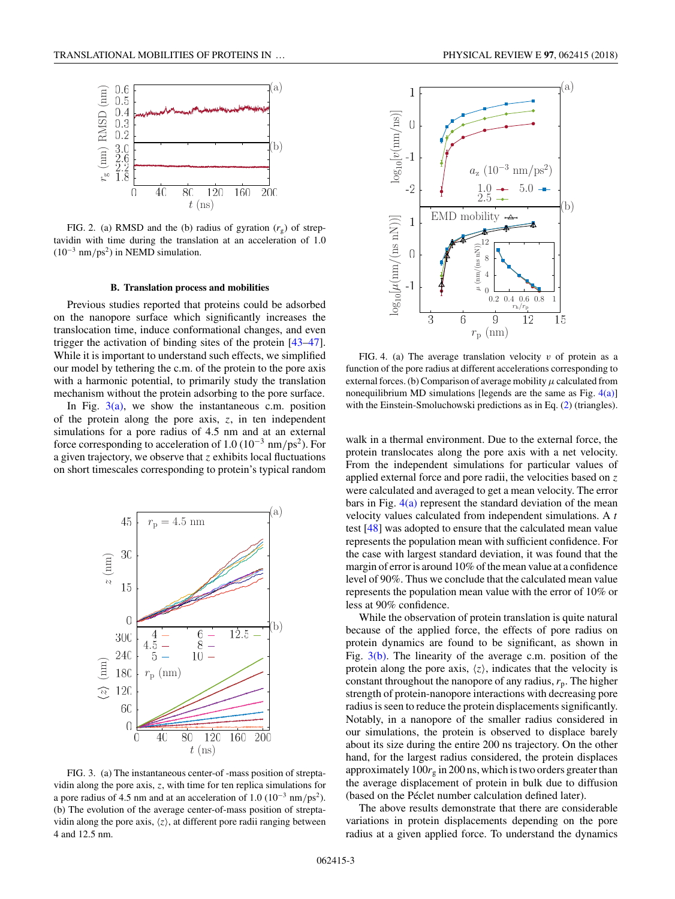<span id="page-2-0"></span>

FIG. 2. (a) RMSD and the (b) radius of gyration  $(r<sub>s</sub>)$  of streptavidin with time during the translation at an acceleration of 1.0 (10−<sup>3</sup> nm*/*ps2) in NEMD simulation.

#### **B. Translation process and mobilities**

Previous studies reported that proteins could be adsorbed on the nanopore surface which significantly increases the translocation time, induce conformational changes, and even trigger the activation of binding sites of the protein [\[43–47\]](#page-6-0). While it is important to understand such effects, we simplified our model by tethering the c.m. of the protein to the pore axis with a harmonic potential, to primarily study the translation mechanism without the protein adsorbing to the pore surface.

In Fig.  $3(a)$ , we show the instantaneous c.m. position of the protein along the pore axis, *z*, in ten independent simulations for a pore radius of 4.5 nm and at an external force corresponding to acceleration of 1.0 (10−<sup>3</sup> nm*/*ps2). For a given trajectory, we observe that *z* exhibits local fluctuations on short timescales corresponding to protein's typical random



FIG. 3. (a) The instantaneous center-of -mass position of streptavidin along the pore axis, *z*, with time for ten replica simulations for a pore radius of 4.5 nm and at an acceleration of 1.0 (10−<sup>3</sup> nm*/*ps2). (b) The evolution of the average center-of-mass position of streptavidin along the pore axis,  $\langle z \rangle$ , at different pore radii ranging between 4 and 12.5 nm.



FIG. 4. (a) The average translation velocity *v* of protein as a function of the pore radius at different accelerations corresponding to external forces. (b) Comparison of average mobility  $\mu$  calculated from nonequilibrium MD simulations [legends are the same as Fig.  $4(a)$ ] with the Einstein-Smoluchowski predictions as in Eq. [\(2\)](#page-3-0) (triangles).

walk in a thermal environment. Due to the external force, the protein translocates along the pore axis with a net velocity. From the independent simulations for particular values of applied external force and pore radii, the velocities based on *z* were calculated and averaged to get a mean velocity. The error bars in Fig.  $4(a)$  represent the standard deviation of the mean velocity values calculated from independent simulations. A *t* test [\[48\]](#page-6-0) was adopted to ensure that the calculated mean value represents the population mean with sufficient confidence. For the case with largest standard deviation, it was found that the margin of error is around 10% of the mean value at a confidence level of 90%. Thus we conclude that the calculated mean value represents the population mean value with the error of 10% or less at 90% confidence.

While the observation of protein translation is quite natural because of the applied force, the effects of pore radius on protein dynamics are found to be significant, as shown in Fig.  $3(b)$ . The linearity of the average c.m. position of the protein along the pore axis,  $\langle z \rangle$ , indicates that the velocity is constant throughout the nanopore of any radius,  $r_p$ . The higher strength of protein-nanopore interactions with decreasing pore radius is seen to reduce the protein displacements significantly. Notably, in a nanopore of the smaller radius considered in our simulations, the protein is observed to displace barely about its size during the entire 200 ns trajectory. On the other hand, for the largest radius considered, the protein displaces approximately  $100r<sub>g</sub>$  in 200 ns, which is two orders greater than the average displacement of protein in bulk due to diffusion (based on the Péclet number calculation defined later).

The above results demonstrate that there are considerable variations in protein displacements depending on the pore radius at a given applied force. To understand the dynamics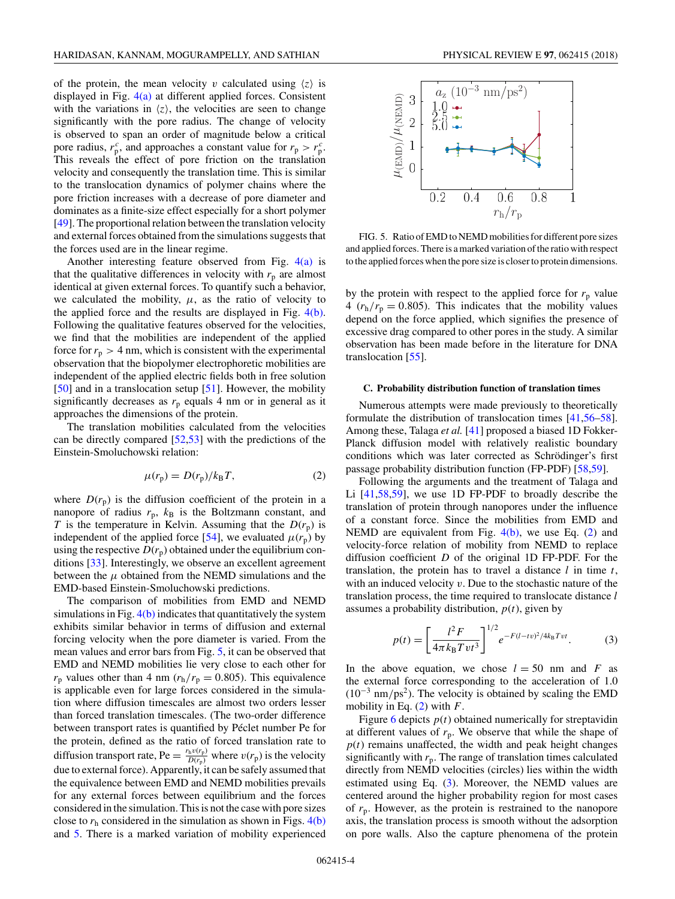<span id="page-3-0"></span>of the protein, the mean velocity *v* calculated using  $\langle z \rangle$  is displayed in Fig. [4\(a\)](#page-2-0) at different applied forces. Consistent with the variations in  $\langle z \rangle$ , the velocities are seen to change significantly with the pore radius. The change of velocity is observed to span an order of magnitude below a critical pore radius,  $r_p^c$ , and approaches a constant value for  $r_p > r_p^c$ . This reveals the effect of pore friction on the translation velocity and consequently the translation time. This is similar to the translocation dynamics of polymer chains where the pore friction increases with a decrease of pore diameter and dominates as a finite-size effect especially for a short polymer [\[49\]](#page-6-0). The proportional relation between the translation velocity and external forces obtained from the simulations suggests that the forces used are in the linear regime.

Another interesting feature observed from Fig.  $4(a)$  is that the qualitative differences in velocity with  $r_p$  are almost identical at given external forces. To quantify such a behavior, we calculated the mobility,  $\mu$ , as the ratio of velocity to the applied force and the results are displayed in Fig. [4\(b\).](#page-2-0) Following the qualitative features observed for the velocities, we find that the mobilities are independent of the applied force for  $r_p > 4$  nm, which is consistent with the experimental observation that the biopolymer electrophoretic mobilities are independent of the applied electric fields both in free solution [\[50\]](#page-6-0) and in a translocation setup [\[51\]](#page-6-0). However, the mobility significantly decreases as  $r_p$  equals 4 nm or in general as it approaches the dimensions of the protein.

The translation mobilities calculated from the velocities can be directly compared [\[52,53\]](#page-6-0) with the predictions of the Einstein-Smoluchowski relation:

$$
\mu(r_{\rm p}) = D(r_{\rm p})/k_{\rm B}T,\tag{2}
$$

where  $D(r_p)$  is the diffusion coefficient of the protein in a nanopore of radius  $r_p$ ,  $k_B$  is the Boltzmann constant, and *T* is the temperature in Kelvin. Assuming that the  $D(r_p)$  is independent of the applied force [\[54\]](#page-6-0), we evaluated  $\mu(r_p)$  by using the respective  $D(r_p)$  obtained under the equilibrium conditions [\[33\]](#page-6-0). Interestingly, we observe an excellent agreement between the  $\mu$  obtained from the NEMD simulations and the EMD-based Einstein-Smoluchowski predictions.

The comparison of mobilities from EMD and NEMD simulations in Fig.  $4(b)$  indicates that quantitatively the system exhibits similar behavior in terms of diffusion and external forcing velocity when the pore diameter is varied. From the mean values and error bars from Fig. 5, it can be observed that EMD and NEMD mobilities lie very close to each other for  $r_p$  values other than 4 nm ( $r_h/r_p = 0.805$ ). This equivalence is applicable even for large forces considered in the simulation where diffusion timescales are almost two orders lesser than forced translation timescales. (The two-order difference between transport rates is quantified by Péclet number Pe for the protein, defined as the ratio of forced translation rate to diffusion transport rate, Pe =  $\frac{r_h v(r_p)}{D(r_p)}$  where  $v(r_p)$  is the velocity due to external force). Apparently, it can be safely assumed that the equivalence between EMD and NEMD mobilities prevails for any external forces between equilibrium and the forces considered in the simulation. This is not the case with pore sizes close to  $r<sub>h</sub>$  considered in the simulation as shown in Figs.  $4(b)$ and 5. There is a marked variation of mobility experienced



FIG. 5. Ratio of EMD to NEMD mobilities for different pore sizes and applied forces. There is a marked variation of the ratio with respect to the applied forces when the pore size is closer to protein dimensions.

by the protein with respect to the applied force for  $r_p$  value 4  $(r_h/r_p = 0.805)$ . This indicates that the mobility values depend on the force applied, which signifies the presence of excessive drag compared to other pores in the study. A similar observation has been made before in the literature for DNA translocation [\[55\]](#page-6-0).

#### **C. Probability distribution function of translation times**

Numerous attempts were made previously to theoretically formulate the distribution of translocation times [\[41,56–58\]](#page-6-0). Among these, Talaga *et al.* [\[41\]](#page-6-0) proposed a biased 1D Fokker-Planck diffusion model with relatively realistic boundary conditions which was later corrected as Schrödinger's first passage probability distribution function (FP-PDF) [\[58,59\]](#page-6-0).

Following the arguments and the treatment of Talaga and Li [\[41,58,59\]](#page-6-0), we use 1D FP-PDF to broadly describe the translation of protein through nanopores under the influence of a constant force. Since the mobilities from EMD and NEMD are equivalent from Fig.  $4(b)$ , we use Eq. (2) and velocity-force relation of mobility from NEMD to replace diffusion coefficient *D* of the original 1D FP-PDF. For the translation, the protein has to travel a distance *l* in time *t*, with an induced velocity *v*. Due to the stochastic nature of the translation process, the time required to translocate distance *l* assumes a probability distribution,  $p(t)$ , given by

$$
p(t) = \left[\frac{l^2 F}{4\pi k_B T v t^3}\right]^{1/2} e^{-F(l-tv)^2/4k_B T v t}.
$$
 (3)

In the above equation, we chose  $l = 50$  nm and *F* as the external force corresponding to the acceleration of 1.0 (10−<sup>3</sup> nm*/*ps2). The velocity is obtained by scaling the EMD mobility in Eq. (2) with *F*.

Figure [6](#page-4-0) depicts  $p(t)$  obtained numerically for streptavidin at different values of  $r_p$ . We observe that while the shape of  $p(t)$  remains unaffected, the width and peak height changes significantly with  $r_p$ . The range of translation times calculated directly from NEMD velocities (circles) lies within the width estimated using Eq. (3). Moreover, the NEMD values are centered around the higher probability region for most cases of *r*p. However, as the protein is restrained to the nanopore axis, the translation process is smooth without the adsorption on pore walls. Also the capture phenomena of the protein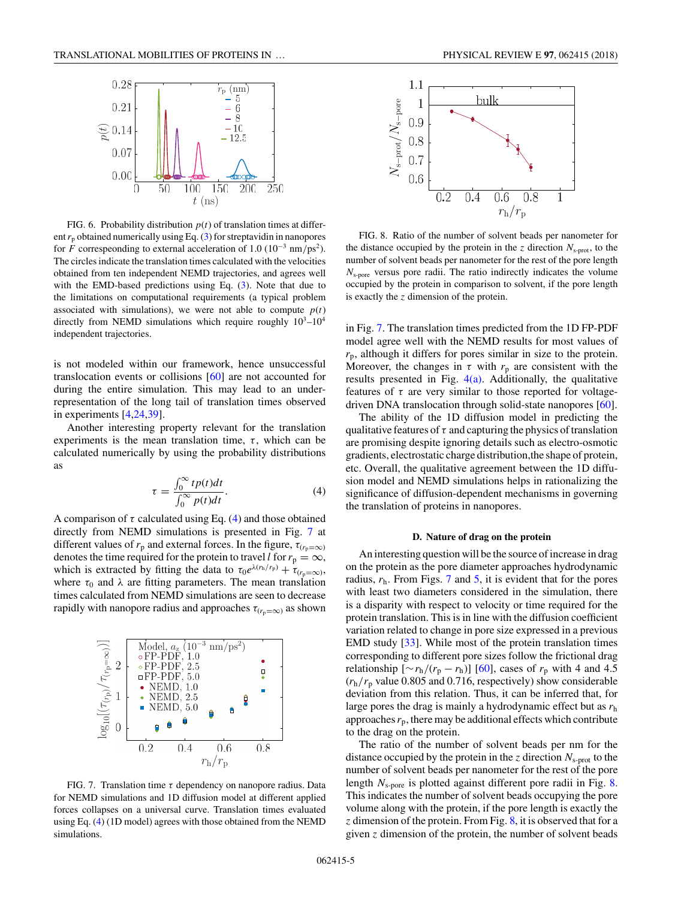<span id="page-4-0"></span>

FIG. 6. Probability distribution  $p(t)$  of translation times at different  $r_p$  obtained numerically using Eq.  $(3)$  for streptavidin in nanopores for *F* correspeonding to external acceleration of 1.0 (10−<sup>3</sup> nm*/*ps2). The circles indicate the translation times calculated with the velocities obtained from ten independent NEMD trajectories, and agrees well with the EMD-based predictions using Eq. [\(3\)](#page-3-0). Note that due to the limitations on computational requirements (a typical problem associated with simulations), we were not able to compute  $p(t)$ directly from NEMD simulations which require roughly  $10^3-10^4$ independent trajectories.

is not modeled within our framework, hence unsuccessful translocation events or collisions [\[60\]](#page-6-0) are not accounted for during the entire simulation. This may lead to an underrepresentation of the long tail of translation times observed in experiments [\[4,](#page-5-0)[24,39\]](#page-6-0).

Another interesting property relevant for the translation experiments is the mean translation time,  $\tau$ , which can be calculated numerically by using the probability distributions as

$$
\tau = \frac{\int_0^\infty t p(t) dt}{\int_0^\infty p(t) dt}.
$$
\n(4)

A comparison of  $\tau$  calculated using Eq. (4) and those obtained directly from NEMD simulations is presented in Fig. 7 at different values of  $r_p$  and external forces. In the figure,  $\tau_{(r_p=\infty)}$ denotes the time required for the protein to travel *l* for  $r_p = \infty$ , which is extracted by fitting the data to  $\tau_0 e^{\lambda(r_h/r_p)} + \tau_{(r_p=\infty)}$ , where  $\tau_0$  and  $\lambda$  are fitting parameters. The mean translation times calculated from NEMD simulations are seen to decrease rapidly with nanopore radius and approaches  $\tau_{(r_p=\infty)}$  as shown



FIG. 7. Translation time *τ* dependency on nanopore radius. Data for NEMD simulations and 1D diffusion model at different applied forces collapses on a universal curve. Translation times evaluated using Eq. (4) (1D model) agrees with those obtained from the NEMD simulations.

062415-5



FIG. 8. Ratio of the number of solvent beads per nanometer for the distance occupied by the protein in the *z* direction  $N_{\text{s-prot}}$ , to the number of solvent beads per nanometer for the rest of the pore length *N*s-pore versus pore radii. The ratio indirectly indicates the volume occupied by the protein in comparison to solvent, if the pore length is exactly the *z* dimension of the protein.

in Fig. 7. The translation times predicted from the 1D FP-PDF model agree well with the NEMD results for most values of *r*p, although it differs for pores similar in size to the protein. Moreover, the changes in  $\tau$  with  $r_p$  are consistent with the results presented in Fig.  $4(a)$ . Additionally, the qualitative features of  $\tau$  are very similar to those reported for voltagedriven DNA translocation through solid-state nanopores [\[60\]](#page-6-0).

The ability of the 1D diffusion model in predicting the qualitative features of  $\tau$  and capturing the physics of translation are promising despite ignoring details such as electro-osmotic gradients, electrostatic charge distribution,the shape of protein, etc. Overall, the qualitative agreement between the 1D diffusion model and NEMD simulations helps in rationalizing the significance of diffusion-dependent mechanisms in governing the translation of proteins in nanopores.

### **D. Nature of drag on the protein**

An interesting question will be the source of increase in drag on the protein as the pore diameter approaches hydrodynamic radius,  $r<sub>h</sub>$ . From Figs. 7 and [5,](#page-3-0) it is evident that for the pores with least two diameters considered in the simulation, there is a disparity with respect to velocity or time required for the protein translation. This is in line with the diffusion coefficient variation related to change in pore size expressed in a previous EMD study [\[33\]](#page-6-0). While most of the protein translation times corresponding to different pore sizes follow the frictional drag relationship  $[\sim r_h/(r_p - r_h)]$  [\[60\]](#page-6-0), cases of  $r_p$  with 4 and 4.5  $(r_h/r_p)$  value 0.805 and 0.716, respectively) show considerable deviation from this relation. Thus, it can be inferred that, for large pores the drag is mainly a hydrodynamic effect but as *r*<sup>h</sup> approaches  $r_p$ , there may be additional effects which contribute to the drag on the protein.

The ratio of the number of solvent beads per nm for the distance occupied by the protein in the *z* direction *N*s-prot to the number of solvent beads per nanometer for the rest of the pore length *N*s-pore is plotted against different pore radii in Fig. 8. This indicates the number of solvent beads occupying the pore volume along with the protein, if the pore length is exactly the *z* dimension of the protein. From Fig. 8, it is observed that for a given *z* dimension of the protein, the number of solvent beads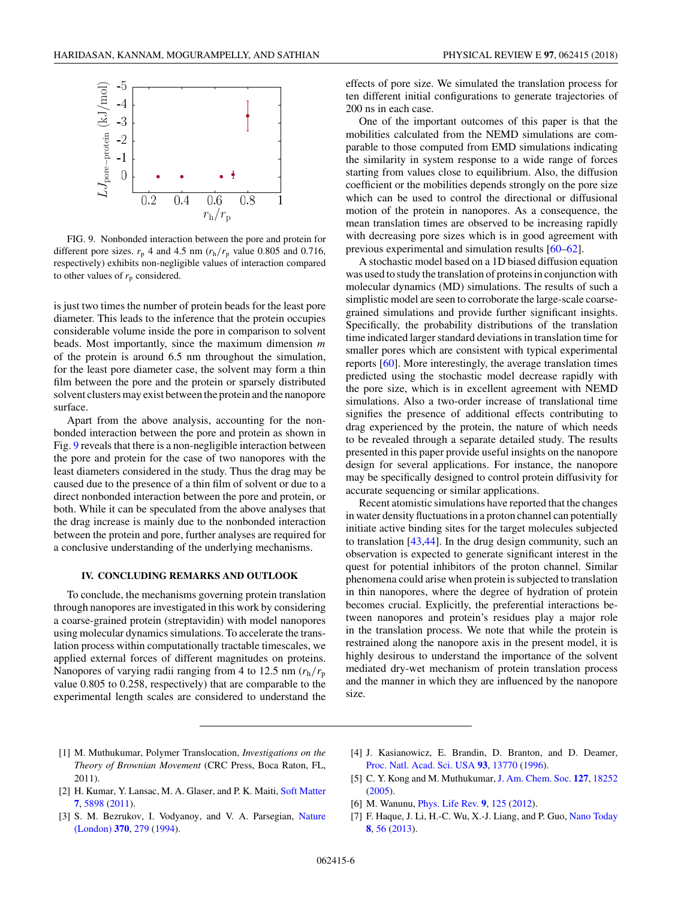<span id="page-5-0"></span>

FIG. 9. Nonbonded interaction between the pore and protein for different pore sizes.  $r_p$  4 and 4.5 nm  $(r_h/r_p)$  value 0.805 and 0.716, respectively) exhibits non-negligible values of interaction compared to other values of  $r_p$  considered.

is just two times the number of protein beads for the least pore diameter. This leads to the inference that the protein occupies considerable volume inside the pore in comparison to solvent beads. Most importantly, since the maximum dimension *m* of the protein is around 6.5 nm throughout the simulation, for the least pore diameter case, the solvent may form a thin film between the pore and the protein or sparsely distributed solvent clusters may exist between the protein and the nanopore surface.

Apart from the above analysis, accounting for the nonbonded interaction between the pore and protein as shown in Fig. 9 reveals that there is a non-negligible interaction between the pore and protein for the case of two nanopores with the least diameters considered in the study. Thus the drag may be caused due to the presence of a thin film of solvent or due to a direct nonbonded interaction between the pore and protein, or both. While it can be speculated from the above analyses that the drag increase is mainly due to the nonbonded interaction between the protein and pore, further analyses are required for a conclusive understanding of the underlying mechanisms.

## **IV. CONCLUDING REMARKS AND OUTLOOK**

To conclude, the mechanisms governing protein translation through nanopores are investigated in this work by considering a coarse-grained protein (streptavidin) with model nanopores using molecular dynamics simulations. To accelerate the translation process within computationally tractable timescales, we applied external forces of different magnitudes on proteins. Nanopores of varying radii ranging from 4 to 12.5 nm (*r*h*/r*<sup>p</sup> value 0.805 to 0.258, respectively) that are comparable to the experimental length scales are considered to understand the

effects of pore size. We simulated the translation process for ten different initial configurations to generate trajectories of 200 ns in each case.

One of the important outcomes of this paper is that the mobilities calculated from the NEMD simulations are comparable to those computed from EMD simulations indicating the similarity in system response to a wide range of forces starting from values close to equilibrium. Also, the diffusion coefficient or the mobilities depends strongly on the pore size which can be used to control the directional or diffusional motion of the protein in nanopores. As a consequence, the mean translation times are observed to be increasing rapidly with decreasing pore sizes which is in good agreement with previous experimental and simulation results [\[60–62\]](#page-6-0).

A stochastic model based on a 1D biased diffusion equation was used to study the translation of proteins in conjunction with molecular dynamics (MD) simulations. The results of such a simplistic model are seen to corroborate the large-scale coarsegrained simulations and provide further significant insights. Specifically, the probability distributions of the translation time indicated larger standard deviations in translation time for smaller pores which are consistent with typical experimental reports [\[60\]](#page-6-0). More interestingly, the average translation times predicted using the stochastic model decrease rapidly with the pore size, which is in excellent agreement with NEMD simulations. Also a two-order increase of translational time signifies the presence of additional effects contributing to drag experienced by the protein, the nature of which needs to be revealed through a separate detailed study. The results presented in this paper provide useful insights on the nanopore design for several applications. For instance, the nanopore may be specifically designed to control protein diffusivity for accurate sequencing or similar applications.

Recent atomistic simulations have reported that the changes in water density fluctuations in a proton channel can potentially initiate active binding sites for the target molecules subjected to translation [\[43,44\]](#page-6-0). In the drug design community, such an observation is expected to generate significant interest in the quest for potential inhibitors of the proton channel. Similar phenomena could arise when protein is subjected to translation in thin nanopores, where the degree of hydration of protein becomes crucial. Explicitly, the preferential interactions between nanopores and protein's residues play a major role in the translation process. We note that while the protein is restrained along the nanopore axis in the present model, it is highly desirous to understand the importance of the solvent mediated dry-wet mechanism of protein translation process and the manner in which they are influenced by the nanopore size.

- [1] M. Muthukumar, Polymer Translocation, *Investigations on the Theory of Brownian Movement* (CRC Press, Boca Raton, FL, 2011).
- [2] H. Kumar, Y. Lansac, M. A. Glaser, and P. K. Maiti, [Soft Matter](https://doi.org/10.1039/c0sm01517b) **[7](https://doi.org/10.1039/c0sm01517b)**, [5898](https://doi.org/10.1039/c0sm01517b) [\(2011\)](https://doi.org/10.1039/c0sm01517b).
- [3] [S. M. Bezrukov, I. Vodyanoy, and V. A. Parsegian,](https://doi.org/10.1038/370279a0) Nature (London) **[370](https://doi.org/10.1038/370279a0)**, [279](https://doi.org/10.1038/370279a0) [\(1994\)](https://doi.org/10.1038/370279a0).
- [4] J. Kasianowicz, E. Brandin, D. Branton, and D. Deamer, [Proc. Natl. Acad. Sci. USA](https://doi.org/10.1073/pnas.93.24.13770) **[93](https://doi.org/10.1073/pnas.93.24.13770)**, [13770](https://doi.org/10.1073/pnas.93.24.13770) [\(1996\)](https://doi.org/10.1073/pnas.93.24.13770).
- [5] C. Y. Kong and M. Muthukumar, [J. Am. Chem. Soc.](https://doi.org/10.1021/ja055695o) **[127](https://doi.org/10.1021/ja055695o)**, [18252](https://doi.org/10.1021/ja055695o) [\(2005\)](https://doi.org/10.1021/ja055695o).
- [6] M. Wanunu, [Phys. Life Rev.](https://doi.org/10.1016/j.plrev.2012.05.010) **[9](https://doi.org/10.1016/j.plrev.2012.05.010)**, [125](https://doi.org/10.1016/j.plrev.2012.05.010) [\(2012\)](https://doi.org/10.1016/j.plrev.2012.05.010).
- [7] F. Haque, J. Li, H.-C. Wu, X.-J. Liang, and P. Guo, [Nano Today](https://doi.org/10.1016/j.nantod.2012.12.008) **[8](https://doi.org/10.1016/j.nantod.2012.12.008)**, [56](https://doi.org/10.1016/j.nantod.2012.12.008) [\(2013\)](https://doi.org/10.1016/j.nantod.2012.12.008).